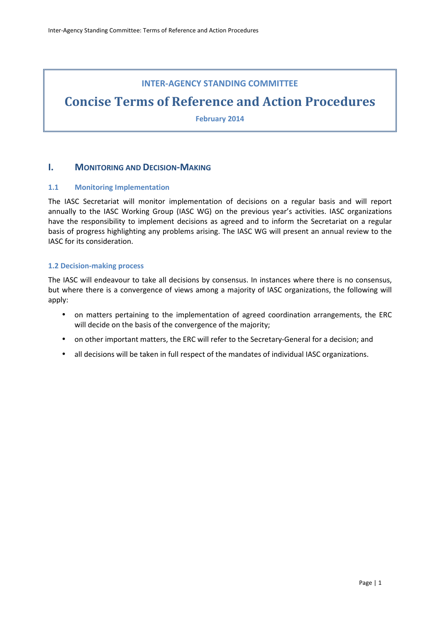### **INTER-AGENCY STANDING COMMITTEE**

# **Concise Terms of Reference and Action Procedures**

**February 2014** 

### **I. MONITORING AND DECISION-MAKING**

### **1.1 Monitoring Implementation**

The IASC Secretariat will monitor implementation of decisions on a regular basis and will report annually to the IASC Working Group (IASC WG) on the previous year's activities. IASC organizations have the responsibility to implement decisions as agreed and to inform the Secretariat on a regular basis of progress highlighting any problems arising. The IASC WG will present an annual review to the IASC for its consideration.

### **1.2 Decision-making process**

The IASC will endeavour to take all decisions by consensus. In instances where there is no consensus, but where there is a convergence of views among a majority of IASC organizations, the following will apply:

- on matters pertaining to the implementation of agreed coordination arrangements, the ERC will decide on the basis of the convergence of the majority;
- on other important matters, the ERC will refer to the Secretary-General for a decision; and
- all decisions will be taken in full respect of the mandates of individual IASC organizations.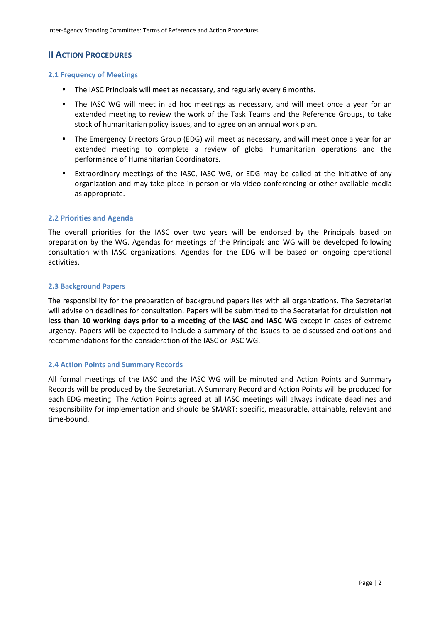# **II ACTION PROCEDURES**

### **2.1 Frequency of Meetings**

- The IASC Principals will meet as necessary, and regularly every 6 months.
- The IASC WG will meet in ad hoc meetings as necessary, and will meet once a year for an extended meeting to review the work of the Task Teams and the Reference Groups, to take stock of humanitarian policy issues, and to agree on an annual work plan.
- The Emergency Directors Group (EDG) will meet as necessary, and will meet once a year for an extended meeting to complete a review of global humanitarian operations and the performance of Humanitarian Coordinators.
- Extraordinary meetings of the IASC, IASC WG, or EDG may be called at the initiative of any organization and may take place in person or via video-conferencing or other available media as appropriate.

### **2.2 Priorities and Agenda**

The overall priorities for the IASC over two years will be endorsed by the Principals based on preparation by the WG. Agendas for meetings of the Principals and WG will be developed following consultation with IASC organizations. Agendas for the EDG will be based on ongoing operational activities.

### **2.3 Background Papers**

The responsibility for the preparation of background papers lies with all organizations. The Secretariat will advise on deadlines for consultation. Papers will be submitted to the Secretariat for circulation **not less than 10 working days prior to a meeting of the IASC and IASC WG** except in cases of extreme urgency. Papers will be expected to include a summary of the issues to be discussed and options and recommendations for the consideration of the IASC or IASC WG.

### **2.4 Action Points and Summary Records**

All formal meetings of the IASC and the IASC WG will be minuted and Action Points and Summary Records will be produced by the Secretariat. A Summary Record and Action Points will be produced for each EDG meeting. The Action Points agreed at all IASC meetings will always indicate deadlines and responsibility for implementation and should be SMART: specific, measurable, attainable, relevant and time-bound.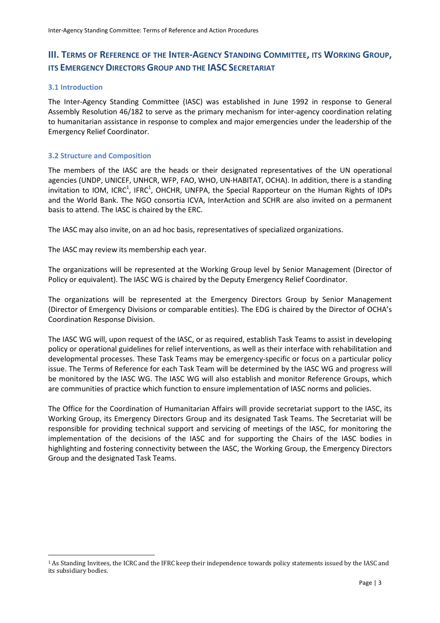## **III. TERMS OF REFERENCE OF THE INTER-AGENCY STANDING COMMITTEE, ITS WORKING GROUP, ITS EMERGENCY DIRECTORS GROUP AND THE IASC SECRETARIAT**

### **3.1 Introduction**

l

The Inter-Agency Standing Committee (IASC) was established in June 1992 in response to General Assembly Resolution 46/182 to serve as the primary mechanism for inter-agency coordination relating to humanitarian assistance in response to complex and major emergencies under the leadership of the Emergency Relief Coordinator.

### **3.2 Structure and Composition**

The members of the IASC are the heads or their designated representatives of the UN operational agencies (UNDP, UNICEF, UNHCR, WFP, FAO, WHO, UN-HABITAT, OCHA). In addition, there is a standing invitation to IOM, ICRC<sup>1</sup>, IFRC<sup>1</sup>, OHCHR, UNFPA, the Special Rapporteur on the Human Rights of IDPs and the World Bank. The NGO consortia ICVA, InterAction and SCHR are also invited on a permanent basis to attend. The IASC is chaired by the ERC.

The IASC may also invite, on an ad hoc basis, representatives of specialized organizations.

The IASC may review its membership each year.

The organizations will be represented at the Working Group level by Senior Management (Director of Policy or equivalent). The IASC WG is chaired by the Deputy Emergency Relief Coordinator.

The organizations will be represented at the Emergency Directors Group by Senior Management (Director of Emergency Divisions or comparable entities). The EDG is chaired by the Director of OCHA's Coordination Response Division.

The IASC WG will, upon request of the IASC, or as required, establish Task Teams to assist in developing policy or operational guidelines for relief interventions, as well as their interface with rehabilitation and developmental processes. These Task Teams may be emergency-specific or focus on a particular policy issue. The Terms of Reference for each Task Team will be determined by the IASC WG and progress will be monitored by the IASC WG. The IASC WG will also establish and monitor Reference Groups, which are communities of practice which function to ensure implementation of IASC norms and policies.

The Office for the Coordination of Humanitarian Affairs will provide secretariat support to the IASC, its Working Group, its Emergency Directors Group and its designated Task Teams. The Secretariat will be responsible for providing technical support and servicing of meetings of the IASC, for monitoring the implementation of the decisions of the IASC and for supporting the Chairs of the IASC bodies in highlighting and fostering connectivity between the IASC, the Working Group, the Emergency Directors Group and the designated Task Teams.

<sup>1</sup> As Standing Invitees, the ICRC and the IFRC keep their independence towards policy statements issued by the IASC and its subsidiary bodies.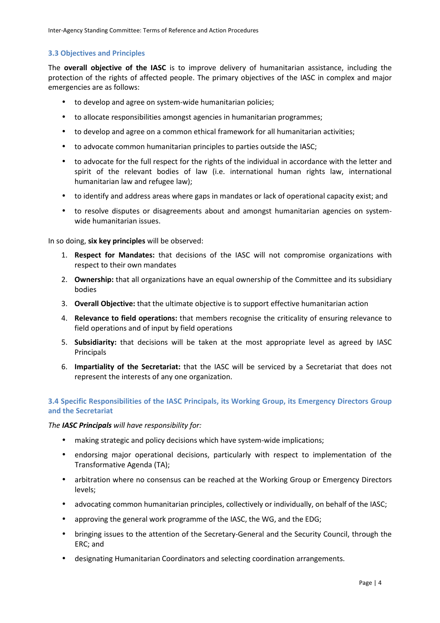### **3.3 Objectives and Principles**

The **overall objective of the IASC** is to improve delivery of humanitarian assistance, including the protection of the rights of affected people. The primary objectives of the IASC in complex and major emergencies are as follows:

- to develop and agree on system-wide humanitarian policies;
- to allocate responsibilities amongst agencies in humanitarian programmes;
- to develop and agree on a common ethical framework for all humanitarian activities;
- to advocate common humanitarian principles to parties outside the IASC;
- to advocate for the full respect for the rights of the individual in accordance with the letter and spirit of the relevant bodies of law (i.e. international human rights law, international humanitarian law and refugee law);
- to identify and address areas where gaps in mandates or lack of operational capacity exist; and
- to resolve disputes or disagreements about and amongst humanitarian agencies on systemwide humanitarian issues.

In so doing, **six key principles** will be observed:

- 1. **Respect for Mandates:** that decisions of the IASC will not compromise organizations with respect to their own mandates
- 2. **Ownership:** that all organizations have an equal ownership of the Committee and its subsidiary bodies
- 3. **Overall Objective:** that the ultimate objective is to support effective humanitarian action
- 4. **Relevance to field operations:** that members recognise the criticality of ensuring relevance to field operations and of input by field operations
- 5. **Subsidiarity:** that decisions will be taken at the most appropriate level as agreed by IASC Principals
- 6. **Impartiality of the Secretariat:** that the IASC will be serviced by a Secretariat that does not represent the interests of any one organization.

### **3.4 Specific Responsibilities of the IASC Principals, its Working Group, its Emergency Directors Group and the Secretariat**

#### *The IASC Principals will have responsibility for:*

- making strategic and policy decisions which have system-wide implications;
- endorsing major operational decisions, particularly with respect to implementation of the Transformative Agenda (TA);
- arbitration where no consensus can be reached at the Working Group or Emergency Directors levels;
- advocating common humanitarian principles, collectively or individually, on behalf of the IASC;
- approving the general work programme of the IASC, the WG, and the EDG;
- bringing issues to the attention of the Secretary-General and the Security Council, through the ERC; and
- designating Humanitarian Coordinators and selecting coordination arrangements.